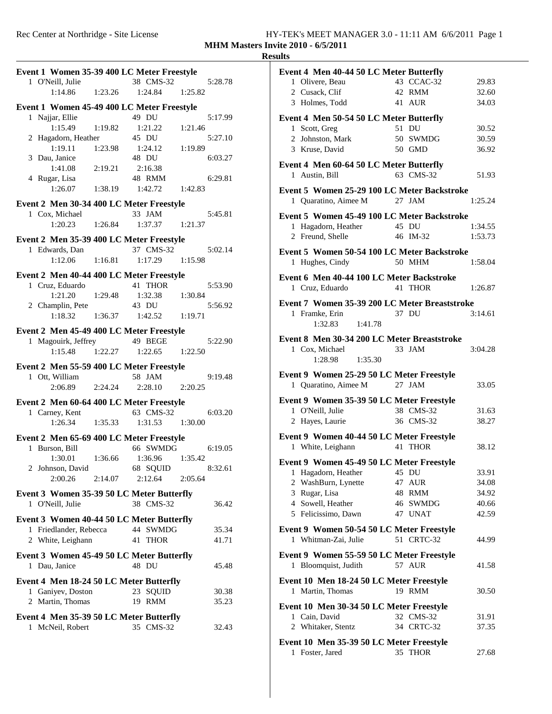| Event 1 Women 35-39 400 LC Meter Freestyle |                                                              |                                       |         |  |  |  |  |  |
|--------------------------------------------|--------------------------------------------------------------|---------------------------------------|---------|--|--|--|--|--|
| 1 O'Neill, Julie                           |                                                              | 38 CMS-32                             | 5:28.78 |  |  |  |  |  |
| 1:14.86                                    | 1:23.26                                                      | 1:24.84                               | 1:25.82 |  |  |  |  |  |
| Event 1 Women 45-49 400 LC Meter Freestyle |                                                              |                                       |         |  |  |  |  |  |
| 1 Najjar, Ellie                            |                                                              |                                       | 5:17.99 |  |  |  |  |  |
| 1:15.49                                    | 1:19.82                                                      | 49 DU<br>1:21.22 1:21.46              |         |  |  |  |  |  |
| 2 Hagadorn, Heather                        |                                                              | 45 DU                                 | 5:27.10 |  |  |  |  |  |
| 1:19.11                                    |                                                              | $1:23.98$ $1:24.12$                   | 1:19.89 |  |  |  |  |  |
| 3 Dau, Janice                              |                                                              | 48 DU                                 | 6:03.27 |  |  |  |  |  |
| 1:41.08                                    | 2:19.21                                                      | 2:16.38                               |         |  |  |  |  |  |
| 4 Rugar, Lisa                              |                                                              | 48 RMM                                | 6:29.81 |  |  |  |  |  |
| 1:26.07                                    |                                                              | $1:38.19$ $1:42.72$ $1:42.83$         |         |  |  |  |  |  |
| Event 2 Men 30-34 400 LC Meter Freestyle   |                                                              |                                       |         |  |  |  |  |  |
| 1 Cox, Michael 3<br>1:20.23 1:26.84        |                                                              | 33 JAM<br>1:37.37 1:21.37             | 5:45.81 |  |  |  |  |  |
|                                            |                                                              |                                       |         |  |  |  |  |  |
| Event 2 Men 35-39 400 LC Meter Freestyle   |                                                              |                                       |         |  |  |  |  |  |
| 1 Edwards, Dan                             |                                                              | 37 CMS-32                             | 5:02.14 |  |  |  |  |  |
| $1:12.06$ $1:16.81$                        |                                                              | $1:17.29$ $1:15.98$                   |         |  |  |  |  |  |
| Event 2 Men 40-44 400 LC Meter Freestyle   |                                                              |                                       |         |  |  |  |  |  |
| 1 Cruz, Eduardo                            |                                                              | 41 THOR                               | 5:53.90 |  |  |  |  |  |
| 1:21.20                                    | 1:29.48                                                      | 1:32.38 1:30.84                       |         |  |  |  |  |  |
| 2 Champlin, Pete                           |                                                              | 43 DU                                 | 5:56.92 |  |  |  |  |  |
|                                            |                                                              | 1:18.32   1:36.37   1:42.52   1:19.71 |         |  |  |  |  |  |
| Event 2 Men 45-49 400 LC Meter Freestyle   |                                                              |                                       |         |  |  |  |  |  |
| 1 Magouirk, Jeffrey 49 BEGE                |                                                              |                                       | 5:22.90 |  |  |  |  |  |
| 1:15.48                                    |                                                              | 1:22.27 1:22.65 1:22.50               |         |  |  |  |  |  |
| Event 2 Men 55-59 400 LC Meter Freestyle   |                                                              |                                       |         |  |  |  |  |  |
|                                            |                                                              | 58 JAM                                | 9:19.48 |  |  |  |  |  |
| 1 Ott, William 5<br>2:06.89 2:24.24        |                                                              | 2:28.10 2:20.25                       |         |  |  |  |  |  |
| Event 2 Men 60-64 400 LC Meter Freestyle   |                                                              |                                       |         |  |  |  |  |  |
| 1 Carney, Kent                             |                                                              | 63 CMS-32                             | 6:03.20 |  |  |  |  |  |
| $1:26.34$ $1:35.33$                        |                                                              | 1:31.53 1:30.00                       |         |  |  |  |  |  |
|                                            |                                                              |                                       |         |  |  |  |  |  |
| Event 2 Men 65-69 400 LC Meter Freestyle   |                                                              | 66 SWMDG                              |         |  |  |  |  |  |
| 1 Burson, Bill<br>1:30.01 1:36.66          |                                                              | 1:36.96 1:35.42                       | 6:19.05 |  |  |  |  |  |
| 2 Johnson, David 68 SQUID                  |                                                              |                                       | 8:32.61 |  |  |  |  |  |
| 2:00.26                                    | 2:14.07                                                      | 2:12.64                               | 2:05.64 |  |  |  |  |  |
|                                            |                                                              |                                       |         |  |  |  |  |  |
| Event 3 Women 35-39 50 LC Meter Butterfly  |                                                              | 38 CMS-32                             |         |  |  |  |  |  |
| 1 O'Neill, Julie                           |                                                              |                                       | 36.42   |  |  |  |  |  |
| Event 3 Women 40-44 50 LC Meter Butterfly  |                                                              |                                       |         |  |  |  |  |  |
| 1 Friedlander, Rebecca                     |                                                              | 44 SWMDG                              | 35.34   |  |  |  |  |  |
| 2 White, Leighann                          |                                                              | 41<br><b>THOR</b>                     | 41.71   |  |  |  |  |  |
| Event 3 Women 45-49 50 LC Meter Butterfly  |                                                              |                                       |         |  |  |  |  |  |
| 1 Dau, Janice                              |                                                              | 48 DU                                 | 45.48   |  |  |  |  |  |
|                                            |                                                              |                                       |         |  |  |  |  |  |
| 1 Ganiyev, Doston                          | Event 4 Men 18-24 50 LC Meter Butterfly<br>23 SQUID<br>30.38 |                                       |         |  |  |  |  |  |
| 2 Martin, Thomas                           |                                                              | 19 RMM                                | 35.23   |  |  |  |  |  |
|                                            |                                                              |                                       |         |  |  |  |  |  |
| Event 4 Men 35-39 50 LC Meter Butterfly    |                                                              | 35 CMS-32                             |         |  |  |  |  |  |
| 1 McNeil, Robert                           |                                                              |                                       | 32.43   |  |  |  |  |  |
|                                            |                                                              |                                       |         |  |  |  |  |  |

| Event 4 Men 40-44 50 LC Meter Butterfly                     |            |         |
|-------------------------------------------------------------|------------|---------|
| 1 Olivere, Beau                                             | 43 CCAC-32 | 29.83   |
| 2 Cusack, Clif                                              | 42 RMM     | 32.60   |
| 3 Holmes, Todd                                              | 41 AUR     | 34.03   |
|                                                             |            |         |
| Event 4 Men 50-54 50 LC Meter Butterfly                     |            |         |
| 1 Scott, Greg                                               | 51 DU      | 30.52   |
| 2 Johnston, Mark                                            | 50 SWMDG   | 30.59   |
| 3 Kruse, David                                              | 50 GMD     | 36.92   |
|                                                             |            |         |
| Event 4 Men 60-64 50 LC Meter Butterfly                     |            |         |
| 1 Austin, Bill                                              | 63 CMS-32  | 51.93   |
| Event 5 Women 25-29 100 LC Meter Backstroke                 |            |         |
|                                                             | 27 JAM     |         |
| 1 Quaratino, Aimee M                                        |            | 1:25.24 |
| Event 5 Women 45-49 100 LC Meter Backstroke                 |            |         |
| 1 Hagadorn, Heather                                         | 45 DU      | 1:34.55 |
| 2 Freund, Shelle                                            | 46 IM-32   | 1:53.73 |
|                                                             |            |         |
| Event 5 Women 50-54 100 LC Meter Backstroke                 |            |         |
| 1 Hughes, Cindy                                             | 50 MHM     | 1:58.04 |
|                                                             |            |         |
| Event 6 Men 40-44 100 LC Meter Backstroke                   |            |         |
| 1 Cruz, Eduardo                                             | 41 THOR    | 1:26.87 |
| Event 7 Women 35-39 200 LC Meter Breaststroke               |            |         |
|                                                             | 37 DU      |         |
| 1 Framke, Erin                                              |            | 3:14.61 |
| 1:32.83<br>1:41.78                                          |            |         |
| Event 8 Men 30-34 200 LC Meter Breaststroke                 |            |         |
| 1 Cox, Michael                                              | 33 JAM     | 3:04.28 |
|                                                             |            |         |
|                                                             |            |         |
| 1:28.98<br>1:35.30                                          |            |         |
| Event 9 Women 25-29 50 LC Meter Freestyle                   |            |         |
|                                                             | 27 JAM     | 33.05   |
| 1 Quaratino, Aimee M                                        |            |         |
| Event 9 Women 35-39 50 LC Meter Freestyle                   |            |         |
| 1 O'Neill, Julie                                            | 38 CMS-32  | 31.63   |
| 2 Hayes, Laurie                                             | 36 CMS-32  | 38.27   |
|                                                             |            |         |
| Event 9 Women 40-44 50 LC Meter Freestyle                   |            |         |
| 1 White, Leighann                                           | 41 THOR    | 38.12   |
|                                                             |            |         |
| Event 9 Women 45-49 50 LC Meter Freestyle                   |            |         |
| 1 Hagadorn, Heather 45 DU                                   |            | 33.91   |
| 2 WashBurn, Lynette                                         | 47 AUR     | 34.08   |
| 3 Rugar, Lisa                                               | 48 RMM     | 34.92   |
| 4 Sowell, Heather                                           | 46 SWMDG   | 40.66   |
| 5 Felicissimo, Dawn                                         | 47 UNAT    | 42.59   |
|                                                             |            |         |
| Event 9 Women 50-54 50 LC Meter Freestyle                   |            |         |
| 1 Whitman-Zai, Julie                                        | 51 CRTC-32 | 44.99   |
| Event 9 Women 55-59 50 LC Meter Freestyle                   |            |         |
| 1 Bloomquist, Judith                                        | 57 AUR     | 41.58   |
|                                                             |            |         |
| Event 10 Men 18-24 50 LC Meter Freestyle                    |            |         |
| 1 Martin, Thomas                                            | 19 RMM     | 30.50   |
|                                                             |            |         |
| Event 10 Men 30-34 50 LC Meter Freestyle                    |            |         |
| 1 Cain, David                                               | 32 CMS-32  | 31.91   |
| 2 Whitaker, Stentz                                          | 34 CRTC-32 | 37.35   |
|                                                             |            |         |
| Event 10 Men 35-39 50 LC Meter Freestyle<br>1 Foster, Jared | 35 THOR    | 27.68   |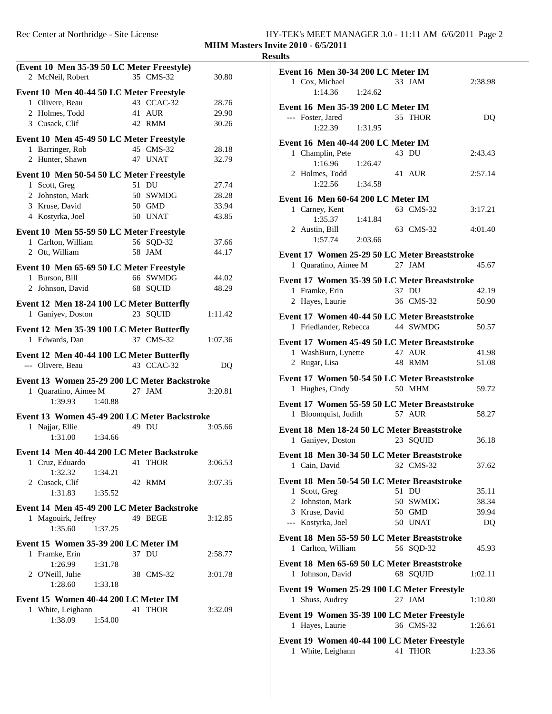| (Event 10 Men 35-39 50 LC Meter Freestyle)                 |           |            |         |  |
|------------------------------------------------------------|-----------|------------|---------|--|
| 2 McNeil, Robert                                           |           | 35 CMS-32  | 30.80   |  |
| Event 10 Men 40-44 50 LC Meter Freestyle                   |           |            |         |  |
| 1 Olivere, Beau                                            |           | 43 CCAC-32 | 28.76   |  |
| 2 Holmes, Todd                                             |           | 41 AUR     | 29.90   |  |
| 3 Cusack, Clif                                             |           | 42 RMM     | 30.26   |  |
| Event 10 Men 45-49 50 LC Meter Freestyle                   |           |            |         |  |
| 1 Barringer, Rob                                           | 45 CMS-32 |            | 28.18   |  |
| 2 Hunter, Shawn                                            |           | 47 UNAT    | 32.79   |  |
| Event 10 Men 50-54 50 LC Meter Freestyle                   |           |            |         |  |
| 1 Scott, Greg                                              |           | 51 DU      | 27.74   |  |
| 2 Johnston, Mark                                           |           | 50 SWMDG   | 28.28   |  |
| 3 Kruse, David                                             |           | 50 GMD     | 33.94   |  |
| 4 Kostyrka, Joel                                           |           | 50 UNAT    | 43.85   |  |
| Event 10 Men 55-59 50 LC Meter Freestyle                   |           |            |         |  |
| 1 Carlton, William                                         |           | 56 SQD-32  | 37.66   |  |
| 2 Ott, William                                             |           | 58 JAM     | 44.17   |  |
|                                                            |           |            |         |  |
| Event 10 Men 65-69 50 LC Meter Freestyle<br>1 Burson, Bill |           | 66 SWMDG   | 44.02   |  |
| 2 Johnson, David                                           |           | 68 SQUID   | 48.29   |  |
|                                                            |           |            |         |  |
| Event 12 Men 18-24 100 LC Meter Butterfly                  |           |            |         |  |
| 1 Ganiyev, Doston                                          |           | 23 SQUID   | 1:11.42 |  |
| Event 12 Men 35-39 100 LC Meter Butterfly                  |           |            |         |  |
| 1 Edwards, Dan                                             |           | 37 CMS-32  | 1:07.36 |  |
| Event 12 Men 40-44 100 LC Meter Butterfly                  |           |            |         |  |
|                                                            |           |            |         |  |
| --- Olivere, Beau 43 CCAC-32                               |           |            | DQ      |  |
|                                                            |           |            |         |  |
| Event 13 Women 25-29 200 LC Meter Backstroke               |           |            |         |  |
| 1 Quaratino, Aimee M 27 JAM                                |           |            | 3:20.81 |  |
| 1:39.93                                                    | 1:40.88   |            |         |  |
| Event 13 Women 45-49 200 LC Meter Backstroke               |           |            |         |  |
| 1 Najjar, Ellie                                            |           | 49 DU      | 3:05.66 |  |
| 1:31.00 1:34.66                                            |           |            |         |  |
| Event 14 Men 40-44 200 LC Meter Backstroke                 |           |            |         |  |
| 1 Cruz, Eduardo                                            |           | 41 THOR    | 3:06.53 |  |
| 1:32.32                                                    | 1:34.21   |            |         |  |
| 2 Cusack, Clif                                             |           | 42 RMM     | 3:07.35 |  |
| 1:31.83                                                    | 1:35.52   |            |         |  |
| Event 14 Men 45-49 200 LC Meter Backstroke                 |           |            |         |  |
| 1 Magouirk, Jeffrey                                        |           | 49 BEGE    | 3:12.85 |  |
| 1:35.60                                                    | 1:37.25   |            |         |  |
| Event 15 Women 35-39 200 LC Meter IM                       |           |            |         |  |
| 1 Framke, Erin                                             |           | 37 DU      | 2:58.77 |  |
| 1:26.99                                                    | 1:31.78   |            |         |  |
| 2 O'Neill, Julie                                           |           | 38 CMS-32  | 3:01.78 |  |
| 1:28.60                                                    | 1:33.18   |            |         |  |
| Event 15 Women 40-44 200 LC Meter IM                       |           |            |         |  |
| 1 White, Leighann                                          |           | 41 THOR    | 3:32.09 |  |
| 1:38.09                                                    | 1:54.00   |            |         |  |

| <b>Event 16 Men 30-34 200 LC Meter IM</b><br>1 Cox, Michael<br>1:14.36         | 1:24.62   | 33 JAM    | 2:38.98 |
|--------------------------------------------------------------------------------|-----------|-----------|---------|
|                                                                                |           |           |         |
| Event 16 Men 35-39 200 LC Meter IM<br>--- Foster, Jared<br>$1:22.39$ $1:31.95$ |           | 35 THOR   | DQ      |
| Event 16 Men 40-44 200 LC Meter IM                                             |           |           |         |
| 1 Champlin, Pete                                                               |           | 43 DU     | 2:43.43 |
| 1:16.96                                                                        | 1:26.47   |           |         |
| 2 Holmes, Todd<br>1:22.56                                                      | 1:34.58   | 41 AUR    | 2:57.14 |
|                                                                                |           |           |         |
| Event 16 Men 60-64 200 LC Meter IM                                             |           |           |         |
| 1 Carney, Kent                                                                 |           | 63 CMS-32 | 3:17.21 |
| 1:35.37 1:41.84                                                                |           |           |         |
| 2 Austin, Bill                                                                 |           | 63 CMS-32 | 4:01.40 |
| 1:57.74                                                                        | 2:03.66   |           |         |
| Event 17 Women 25-29 50 LC Meter Breaststroke                                  |           |           |         |
|                                                                                |           | $27$ JAM  | 45.67   |
| 1 Quaratino, Aimee M                                                           |           |           |         |
| Event 17 Women 35-39 50 LC Meter Breaststroke                                  |           |           |         |
| 1 Framke, Erin                                                                 |           | 37 DU     | 42.19   |
| 2 Hayes, Laurie                                                                |           | 36 CMS-32 | 50.90   |
|                                                                                |           |           |         |
| Event 17 Women 40-44 50 LC Meter Breaststroke                                  |           |           |         |
| 1 Friedlander, Rebecca 44 SWMDG                                                |           |           | 50.57   |
| Event 17 Women 45-49 50 LC Meter Breaststroke                                  |           |           |         |
| 1 WashBurn, Lynette                                                            |           | 47 AUR    | 41.98   |
|                                                                                |           | 48 RMM    | 51.08   |
| 2 Rugar, Lisa                                                                  |           |           |         |
| Event 17 Women 50-54 50 LC Meter Breaststroke                                  |           |           |         |
| 1 Hughes, Cindy                                                                |           | 50 MHM    | 59.72   |
|                                                                                |           |           |         |
| Event 17 Women 55-59 50 LC Meter Breaststroke                                  |           |           |         |
| 1 Bloomquist, Judith                                                           |           | 57 AUR    | 58.27   |
| Event 18 Men 18-24 50 LC Meter Breaststroke                                    |           |           |         |
| 1 Ganiyev, Doston                                                              |           | 23 SQUID  | 36.18   |
|                                                                                |           |           |         |
| Event 18 Men 30-34 50 LC Meter Breaststroke                                    |           |           |         |
| 1 Cain, David                                                                  | 32 CMS-32 |           | 37.62   |
| Event 18 Men 50-54 50 LC Meter Breaststroke                                    |           |           |         |
|                                                                                |           | 51 DU     | 35.11   |
| 1 Scott, Greg                                                                  |           |           |         |
| 2 Johnston, Mark                                                               |           | 50 SWMDG  | 38.34   |
| 3 Kruse, David                                                                 |           | 50 GMD    | 39.94   |
| --- Kostyrka, Joel                                                             |           | 50 UNAT   | DQ      |
| Event 18 Men 55-59 50 LC Meter Breaststroke                                    |           |           |         |
| 1 Carlton, William                                                             |           | 56 SQD-32 | 45.93   |
|                                                                                |           |           |         |
| Event 18 Men 65-69 50 LC Meter Breaststroke                                    |           |           |         |
| 1 Johnson, David                                                               |           | 68 SOUID  | 1:02.11 |
| Event 19 Women 25-29 100 LC Meter Freestyle                                    |           |           |         |
|                                                                                |           |           |         |
| 1 Shuss, Audrey                                                                |           | 27 JAM    | 1:10.80 |
| Event 19 Women 35-39 100 LC Meter Freestyle                                    |           |           |         |
| 1 Hayes, Laurie                                                                |           | 36 CMS-32 | 1:26.61 |
|                                                                                |           |           |         |
| Event 19 Women 40-44 100 LC Meter Freestyle                                    |           |           |         |
| 1 White, Leighann                                                              |           | 41 THOR   | 1:23.36 |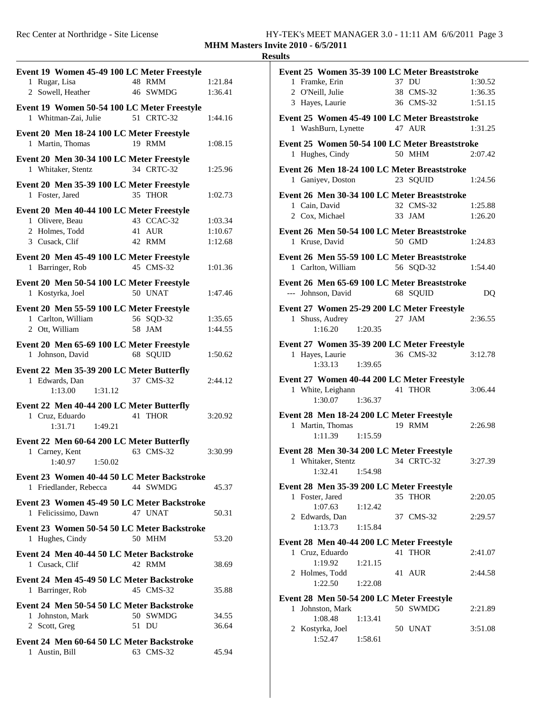| Event 19 Women 45-49 100 LC Meter Freestyle                    |            |                    |
|----------------------------------------------------------------|------------|--------------------|
| 1 Rugar, Lisa                                                  | 48 RMM     | 1:21.84            |
| 2 Sowell, Heather                                              | 46 SWMDG   | 1:36.41            |
| Event 19 Women 50-54 100 LC Meter Freestyle                    |            |                    |
| 1 Whitman-Zai, Julie                                           | 51 CRTC-32 | 1:44.16            |
| Event 20 Men 18-24 100 LC Meter Freestyle                      |            |                    |
| 1 Martin, Thomas                                               | 19 RMM     | 1:08.15            |
| Event 20 Men 30-34 100 LC Meter Freestyle                      |            |                    |
| 1 Whitaker, Stentz                                             | 34 CRTC-32 | 1:25.96            |
|                                                                |            |                    |
| Event 20 Men 35-39 100 LC Meter Freestyle<br>1 Foster, Jared   | 35 THOR    | 1:02.73            |
|                                                                |            |                    |
| Event 20 Men 40-44 100 LC Meter Freestyle                      | 43 CCAC-32 |                    |
| 1 Olivere, Beau<br>2 Holmes, Todd                              | 41 AUR     | 1:03.34<br>1:10.67 |
| 3 Cusack, Clif                                                 | 42 RMM     | 1:12.68            |
|                                                                |            |                    |
| Event 20 Men 45-49 100 LC Meter Freestyle<br>1 Barringer, Rob  | 45 CMS-32  |                    |
|                                                                |            | 1:01.36            |
| Event 20 Men 50-54 100 LC Meter Freestyle                      |            |                    |
| 1 Kostyrka, Joel                                               | 50 UNAT    | 1:47.46            |
| Event 20 Men 55-59 100 LC Meter Freestyle                      |            |                    |
| 1 Carlton, William                                             | 56 SQD-32  | 1:35.65            |
| 2 Ott, William                                                 | 58 JAM     | 1:44.55            |
| Event 20 Men 65-69 100 LC Meter Freestyle                      |            |                    |
| 1 Johnson, David                                               | 68 SQUID   | 1:50.62            |
| Event 22 Men 35-39 200 LC Meter Butterfly                      |            |                    |
| 1 Edwards, Dan                                                 | 37 CMS-32  | 2:44.12            |
| 1:13.00<br>1:31.12                                             |            |                    |
| Event 22 Men 40-44 200 LC Meter Butterfly                      |            |                    |
| 1 Cruz, Eduardo                                                | 41 THOR    | 3:20.92            |
| 1:31.71<br>1:49.21                                             |            |                    |
| Event 22 Men 60-64 200 LC Meter Butterfly                      |            |                    |
| 1 Carney, Kent                                                 | 63 CMS-32  | 3:30.99            |
| 1:40.97<br>1:50.02                                             |            |                    |
| Event 23 Women 40-44 50 LC Meter Backstroke                    |            |                    |
| 1 Friedlander, Rebecca                                         | 44 SWMDG   | 45.37              |
| Event 23 Women 45-49 50 LC Meter Backstroke                    |            |                    |
| 1 Felicissimo, Dawn                                            | 47 UNAT    | 50.31              |
|                                                                |            |                    |
| Event 23 Women 50-54 50 LC Meter Backstroke<br>1 Hughes, Cindy | 50 MHM     | 53.20              |
|                                                                |            |                    |
| Event 24 Men 40-44 50 LC Meter Backstroke                      |            |                    |
| 1 Cusack, Clif                                                 | 42 RMM     | 38.69              |
| Event 24 Men 45-49 50 LC Meter Backstroke                      |            |                    |
| 1 Barringer, Rob                                               | 45 CMS-32  | 35.88              |
| Event 24 Men 50-54 50 LC Meter Backstroke                      |            |                    |
| 1 Johnston, Mark                                               | 50 SWMDG   | 34.55              |
| 2 Scott, Greg                                                  | 51 DU      | 36.64              |
| Event 24 Men 60-64 50 LC Meter Backstroke                      |            |                    |
| 1 Austin, Bill                                                 | 63 CMS-32  | 45.94              |
|                                                                |            |                    |

| 37 DU<br>1 Framke, Erin<br>1:30.52<br>38 CMS-32<br>2 O'Neill, Julie<br>1:36.35<br>36 CMS-32 1:51.15<br>3 Hayes, Laurie<br>Event 25 Women 45-49 100 LC Meter Breaststroke<br>1 WashBurn, Lynette 47 AUR<br>1:31.25<br>Event 25 Women 50-54 100 LC Meter Breaststroke<br>1 Hughes, Cindy<br>50 MHM<br>2:07.42<br>Event 26 Men 18-24 100 LC Meter Breaststroke<br>1 Ganiyev, Doston 23 SQUID 1:24.56<br>Event 26 Men 30-34 100 LC Meter Breaststroke<br>1 Cain, David<br>2 Cox, Michael<br>33 JAM<br>1:25.88<br>1:26.20<br>Event 26 Men 50-54 100 LC Meter Breaststroke<br>50 GMD<br>1 Kruse, David<br>1:24.83<br>Event 26 Men 55-59 100 LC Meter Breaststroke<br>1 Carlton, William<br>56 SQD-32 1:54.40<br>Event 26 Men 65-69 100 LC Meter Breaststroke<br>--- Johnson, David<br>68 SQUID<br>DQ<br>Event 27 Women 25-29 200 LC Meter Freestyle<br>1 Shuss, Audrey<br>$27$ JAM<br>2:36.55<br>$1:16.20$ $1:20.35$<br>Event 27 Women 35-39 200 LC Meter Freestyle<br>36 CMS-32<br>1 Hayes, Laurie<br>3:12.78<br>$1:33.13$ $1:39.65$<br>Event 27 Women 40-44 200 LC Meter Freestyle<br>1 White, Leighann<br>41 THOR<br>3:06.44<br>1:30.07 1:36.37<br>Event 28 Men 18-24 200 LC Meter Freestyle<br>1 Martin, Thomas<br>19 RMM<br>2:26.98<br>$1:11.39$ $1:15.59$<br>Event 28 Men 30-34 200 LC Meter Freestyle<br>34 CRTC-32<br>1 Whitaker, Stentz<br>3:27.39<br>1:54.98<br>1:32.41<br>Event 28 Men 35-39 200 LC Meter Freestyle<br>35 THOR<br>1 Foster, Jared<br>2:20.05<br>1:07.63<br>1:12.42<br>2 Edwards, Dan<br>37 CMS-32<br>2:29.57<br>1:13.73<br>1:15.84<br>Event 28 Men 40-44 200 LC Meter Freestyle<br>41 THOR<br>1 Cruz, Eduardo<br>2:41.07<br>1:19.92<br>1:21.15<br>2 Holmes, Todd<br>41 AUR<br>2:44.58<br>1:22.50<br>1:22.08<br>Event 28 Men 50-54 200 LC Meter Freestyle<br>50 SWMDG<br>Johnston, Mark<br>$\mathbf{1}$<br>2:21.89<br>1:08.48<br>1:13.41<br>2 Kostyrka, Joel<br>50 UNAT<br>3:51.08 | Event 25 Women 35-39 100 LC Meter Breaststroke |         |  |  |
|--------------------------------------------------------------------------------------------------------------------------------------------------------------------------------------------------------------------------------------------------------------------------------------------------------------------------------------------------------------------------------------------------------------------------------------------------------------------------------------------------------------------------------------------------------------------------------------------------------------------------------------------------------------------------------------------------------------------------------------------------------------------------------------------------------------------------------------------------------------------------------------------------------------------------------------------------------------------------------------------------------------------------------------------------------------------------------------------------------------------------------------------------------------------------------------------------------------------------------------------------------------------------------------------------------------------------------------------------------------------------------------------------------------------------------------------------------------------------------------------------------------------------------------------------------------------------------------------------------------------------------------------------------------------------------------------------------------------------------------------------------------------------------------------------------------------------------------------------------------------------------------------------------|------------------------------------------------|---------|--|--|
|                                                                                                                                                                                                                                                                                                                                                                                                                                                                                                                                                                                                                                                                                                                                                                                                                                                                                                                                                                                                                                                                                                                                                                                                                                                                                                                                                                                                                                                                                                                                                                                                                                                                                                                                                                                                                                                                                                        |                                                |         |  |  |
|                                                                                                                                                                                                                                                                                                                                                                                                                                                                                                                                                                                                                                                                                                                                                                                                                                                                                                                                                                                                                                                                                                                                                                                                                                                                                                                                                                                                                                                                                                                                                                                                                                                                                                                                                                                                                                                                                                        |                                                |         |  |  |
|                                                                                                                                                                                                                                                                                                                                                                                                                                                                                                                                                                                                                                                                                                                                                                                                                                                                                                                                                                                                                                                                                                                                                                                                                                                                                                                                                                                                                                                                                                                                                                                                                                                                                                                                                                                                                                                                                                        |                                                |         |  |  |
|                                                                                                                                                                                                                                                                                                                                                                                                                                                                                                                                                                                                                                                                                                                                                                                                                                                                                                                                                                                                                                                                                                                                                                                                                                                                                                                                                                                                                                                                                                                                                                                                                                                                                                                                                                                                                                                                                                        |                                                |         |  |  |
|                                                                                                                                                                                                                                                                                                                                                                                                                                                                                                                                                                                                                                                                                                                                                                                                                                                                                                                                                                                                                                                                                                                                                                                                                                                                                                                                                                                                                                                                                                                                                                                                                                                                                                                                                                                                                                                                                                        |                                                |         |  |  |
|                                                                                                                                                                                                                                                                                                                                                                                                                                                                                                                                                                                                                                                                                                                                                                                                                                                                                                                                                                                                                                                                                                                                                                                                                                                                                                                                                                                                                                                                                                                                                                                                                                                                                                                                                                                                                                                                                                        |                                                |         |  |  |
|                                                                                                                                                                                                                                                                                                                                                                                                                                                                                                                                                                                                                                                                                                                                                                                                                                                                                                                                                                                                                                                                                                                                                                                                                                                                                                                                                                                                                                                                                                                                                                                                                                                                                                                                                                                                                                                                                                        |                                                |         |  |  |
|                                                                                                                                                                                                                                                                                                                                                                                                                                                                                                                                                                                                                                                                                                                                                                                                                                                                                                                                                                                                                                                                                                                                                                                                                                                                                                                                                                                                                                                                                                                                                                                                                                                                                                                                                                                                                                                                                                        |                                                |         |  |  |
|                                                                                                                                                                                                                                                                                                                                                                                                                                                                                                                                                                                                                                                                                                                                                                                                                                                                                                                                                                                                                                                                                                                                                                                                                                                                                                                                                                                                                                                                                                                                                                                                                                                                                                                                                                                                                                                                                                        |                                                |         |  |  |
|                                                                                                                                                                                                                                                                                                                                                                                                                                                                                                                                                                                                                                                                                                                                                                                                                                                                                                                                                                                                                                                                                                                                                                                                                                                                                                                                                                                                                                                                                                                                                                                                                                                                                                                                                                                                                                                                                                        |                                                |         |  |  |
|                                                                                                                                                                                                                                                                                                                                                                                                                                                                                                                                                                                                                                                                                                                                                                                                                                                                                                                                                                                                                                                                                                                                                                                                                                                                                                                                                                                                                                                                                                                                                                                                                                                                                                                                                                                                                                                                                                        |                                                |         |  |  |
|                                                                                                                                                                                                                                                                                                                                                                                                                                                                                                                                                                                                                                                                                                                                                                                                                                                                                                                                                                                                                                                                                                                                                                                                                                                                                                                                                                                                                                                                                                                                                                                                                                                                                                                                                                                                                                                                                                        |                                                |         |  |  |
|                                                                                                                                                                                                                                                                                                                                                                                                                                                                                                                                                                                                                                                                                                                                                                                                                                                                                                                                                                                                                                                                                                                                                                                                                                                                                                                                                                                                                                                                                                                                                                                                                                                                                                                                                                                                                                                                                                        |                                                |         |  |  |
|                                                                                                                                                                                                                                                                                                                                                                                                                                                                                                                                                                                                                                                                                                                                                                                                                                                                                                                                                                                                                                                                                                                                                                                                                                                                                                                                                                                                                                                                                                                                                                                                                                                                                                                                                                                                                                                                                                        |                                                |         |  |  |
|                                                                                                                                                                                                                                                                                                                                                                                                                                                                                                                                                                                                                                                                                                                                                                                                                                                                                                                                                                                                                                                                                                                                                                                                                                                                                                                                                                                                                                                                                                                                                                                                                                                                                                                                                                                                                                                                                                        |                                                |         |  |  |
|                                                                                                                                                                                                                                                                                                                                                                                                                                                                                                                                                                                                                                                                                                                                                                                                                                                                                                                                                                                                                                                                                                                                                                                                                                                                                                                                                                                                                                                                                                                                                                                                                                                                                                                                                                                                                                                                                                        |                                                |         |  |  |
|                                                                                                                                                                                                                                                                                                                                                                                                                                                                                                                                                                                                                                                                                                                                                                                                                                                                                                                                                                                                                                                                                                                                                                                                                                                                                                                                                                                                                                                                                                                                                                                                                                                                                                                                                                                                                                                                                                        |                                                |         |  |  |
|                                                                                                                                                                                                                                                                                                                                                                                                                                                                                                                                                                                                                                                                                                                                                                                                                                                                                                                                                                                                                                                                                                                                                                                                                                                                                                                                                                                                                                                                                                                                                                                                                                                                                                                                                                                                                                                                                                        |                                                |         |  |  |
|                                                                                                                                                                                                                                                                                                                                                                                                                                                                                                                                                                                                                                                                                                                                                                                                                                                                                                                                                                                                                                                                                                                                                                                                                                                                                                                                                                                                                                                                                                                                                                                                                                                                                                                                                                                                                                                                                                        |                                                |         |  |  |
|                                                                                                                                                                                                                                                                                                                                                                                                                                                                                                                                                                                                                                                                                                                                                                                                                                                                                                                                                                                                                                                                                                                                                                                                                                                                                                                                                                                                                                                                                                                                                                                                                                                                                                                                                                                                                                                                                                        |                                                |         |  |  |
|                                                                                                                                                                                                                                                                                                                                                                                                                                                                                                                                                                                                                                                                                                                                                                                                                                                                                                                                                                                                                                                                                                                                                                                                                                                                                                                                                                                                                                                                                                                                                                                                                                                                                                                                                                                                                                                                                                        |                                                |         |  |  |
|                                                                                                                                                                                                                                                                                                                                                                                                                                                                                                                                                                                                                                                                                                                                                                                                                                                                                                                                                                                                                                                                                                                                                                                                                                                                                                                                                                                                                                                                                                                                                                                                                                                                                                                                                                                                                                                                                                        |                                                |         |  |  |
|                                                                                                                                                                                                                                                                                                                                                                                                                                                                                                                                                                                                                                                                                                                                                                                                                                                                                                                                                                                                                                                                                                                                                                                                                                                                                                                                                                                                                                                                                                                                                                                                                                                                                                                                                                                                                                                                                                        |                                                |         |  |  |
|                                                                                                                                                                                                                                                                                                                                                                                                                                                                                                                                                                                                                                                                                                                                                                                                                                                                                                                                                                                                                                                                                                                                                                                                                                                                                                                                                                                                                                                                                                                                                                                                                                                                                                                                                                                                                                                                                                        |                                                |         |  |  |
|                                                                                                                                                                                                                                                                                                                                                                                                                                                                                                                                                                                                                                                                                                                                                                                                                                                                                                                                                                                                                                                                                                                                                                                                                                                                                                                                                                                                                                                                                                                                                                                                                                                                                                                                                                                                                                                                                                        |                                                |         |  |  |
|                                                                                                                                                                                                                                                                                                                                                                                                                                                                                                                                                                                                                                                                                                                                                                                                                                                                                                                                                                                                                                                                                                                                                                                                                                                                                                                                                                                                                                                                                                                                                                                                                                                                                                                                                                                                                                                                                                        |                                                |         |  |  |
|                                                                                                                                                                                                                                                                                                                                                                                                                                                                                                                                                                                                                                                                                                                                                                                                                                                                                                                                                                                                                                                                                                                                                                                                                                                                                                                                                                                                                                                                                                                                                                                                                                                                                                                                                                                                                                                                                                        |                                                |         |  |  |
|                                                                                                                                                                                                                                                                                                                                                                                                                                                                                                                                                                                                                                                                                                                                                                                                                                                                                                                                                                                                                                                                                                                                                                                                                                                                                                                                                                                                                                                                                                                                                                                                                                                                                                                                                                                                                                                                                                        |                                                |         |  |  |
|                                                                                                                                                                                                                                                                                                                                                                                                                                                                                                                                                                                                                                                                                                                                                                                                                                                                                                                                                                                                                                                                                                                                                                                                                                                                                                                                                                                                                                                                                                                                                                                                                                                                                                                                                                                                                                                                                                        |                                                |         |  |  |
|                                                                                                                                                                                                                                                                                                                                                                                                                                                                                                                                                                                                                                                                                                                                                                                                                                                                                                                                                                                                                                                                                                                                                                                                                                                                                                                                                                                                                                                                                                                                                                                                                                                                                                                                                                                                                                                                                                        |                                                |         |  |  |
|                                                                                                                                                                                                                                                                                                                                                                                                                                                                                                                                                                                                                                                                                                                                                                                                                                                                                                                                                                                                                                                                                                                                                                                                                                                                                                                                                                                                                                                                                                                                                                                                                                                                                                                                                                                                                                                                                                        |                                                |         |  |  |
|                                                                                                                                                                                                                                                                                                                                                                                                                                                                                                                                                                                                                                                                                                                                                                                                                                                                                                                                                                                                                                                                                                                                                                                                                                                                                                                                                                                                                                                                                                                                                                                                                                                                                                                                                                                                                                                                                                        |                                                |         |  |  |
|                                                                                                                                                                                                                                                                                                                                                                                                                                                                                                                                                                                                                                                                                                                                                                                                                                                                                                                                                                                                                                                                                                                                                                                                                                                                                                                                                                                                                                                                                                                                                                                                                                                                                                                                                                                                                                                                                                        |                                                |         |  |  |
|                                                                                                                                                                                                                                                                                                                                                                                                                                                                                                                                                                                                                                                                                                                                                                                                                                                                                                                                                                                                                                                                                                                                                                                                                                                                                                                                                                                                                                                                                                                                                                                                                                                                                                                                                                                                                                                                                                        |                                                |         |  |  |
|                                                                                                                                                                                                                                                                                                                                                                                                                                                                                                                                                                                                                                                                                                                                                                                                                                                                                                                                                                                                                                                                                                                                                                                                                                                                                                                                                                                                                                                                                                                                                                                                                                                                                                                                                                                                                                                                                                        |                                                |         |  |  |
|                                                                                                                                                                                                                                                                                                                                                                                                                                                                                                                                                                                                                                                                                                                                                                                                                                                                                                                                                                                                                                                                                                                                                                                                                                                                                                                                                                                                                                                                                                                                                                                                                                                                                                                                                                                                                                                                                                        |                                                |         |  |  |
|                                                                                                                                                                                                                                                                                                                                                                                                                                                                                                                                                                                                                                                                                                                                                                                                                                                                                                                                                                                                                                                                                                                                                                                                                                                                                                                                                                                                                                                                                                                                                                                                                                                                                                                                                                                                                                                                                                        |                                                |         |  |  |
|                                                                                                                                                                                                                                                                                                                                                                                                                                                                                                                                                                                                                                                                                                                                                                                                                                                                                                                                                                                                                                                                                                                                                                                                                                                                                                                                                                                                                                                                                                                                                                                                                                                                                                                                                                                                                                                                                                        |                                                |         |  |  |
|                                                                                                                                                                                                                                                                                                                                                                                                                                                                                                                                                                                                                                                                                                                                                                                                                                                                                                                                                                                                                                                                                                                                                                                                                                                                                                                                                                                                                                                                                                                                                                                                                                                                                                                                                                                                                                                                                                        |                                                |         |  |  |
|                                                                                                                                                                                                                                                                                                                                                                                                                                                                                                                                                                                                                                                                                                                                                                                                                                                                                                                                                                                                                                                                                                                                                                                                                                                                                                                                                                                                                                                                                                                                                                                                                                                                                                                                                                                                                                                                                                        |                                                |         |  |  |
|                                                                                                                                                                                                                                                                                                                                                                                                                                                                                                                                                                                                                                                                                                                                                                                                                                                                                                                                                                                                                                                                                                                                                                                                                                                                                                                                                                                                                                                                                                                                                                                                                                                                                                                                                                                                                                                                                                        |                                                |         |  |  |
|                                                                                                                                                                                                                                                                                                                                                                                                                                                                                                                                                                                                                                                                                                                                                                                                                                                                                                                                                                                                                                                                                                                                                                                                                                                                                                                                                                                                                                                                                                                                                                                                                                                                                                                                                                                                                                                                                                        |                                                |         |  |  |
|                                                                                                                                                                                                                                                                                                                                                                                                                                                                                                                                                                                                                                                                                                                                                                                                                                                                                                                                                                                                                                                                                                                                                                                                                                                                                                                                                                                                                                                                                                                                                                                                                                                                                                                                                                                                                                                                                                        |                                                |         |  |  |
|                                                                                                                                                                                                                                                                                                                                                                                                                                                                                                                                                                                                                                                                                                                                                                                                                                                                                                                                                                                                                                                                                                                                                                                                                                                                                                                                                                                                                                                                                                                                                                                                                                                                                                                                                                                                                                                                                                        |                                                |         |  |  |
|                                                                                                                                                                                                                                                                                                                                                                                                                                                                                                                                                                                                                                                                                                                                                                                                                                                                                                                                                                                                                                                                                                                                                                                                                                                                                                                                                                                                                                                                                                                                                                                                                                                                                                                                                                                                                                                                                                        |                                                |         |  |  |
|                                                                                                                                                                                                                                                                                                                                                                                                                                                                                                                                                                                                                                                                                                                                                                                                                                                                                                                                                                                                                                                                                                                                                                                                                                                                                                                                                                                                                                                                                                                                                                                                                                                                                                                                                                                                                                                                                                        |                                                |         |  |  |
|                                                                                                                                                                                                                                                                                                                                                                                                                                                                                                                                                                                                                                                                                                                                                                                                                                                                                                                                                                                                                                                                                                                                                                                                                                                                                                                                                                                                                                                                                                                                                                                                                                                                                                                                                                                                                                                                                                        |                                                |         |  |  |
|                                                                                                                                                                                                                                                                                                                                                                                                                                                                                                                                                                                                                                                                                                                                                                                                                                                                                                                                                                                                                                                                                                                                                                                                                                                                                                                                                                                                                                                                                                                                                                                                                                                                                                                                                                                                                                                                                                        |                                                |         |  |  |
|                                                                                                                                                                                                                                                                                                                                                                                                                                                                                                                                                                                                                                                                                                                                                                                                                                                                                                                                                                                                                                                                                                                                                                                                                                                                                                                                                                                                                                                                                                                                                                                                                                                                                                                                                                                                                                                                                                        |                                                |         |  |  |
|                                                                                                                                                                                                                                                                                                                                                                                                                                                                                                                                                                                                                                                                                                                                                                                                                                                                                                                                                                                                                                                                                                                                                                                                                                                                                                                                                                                                                                                                                                                                                                                                                                                                                                                                                                                                                                                                                                        |                                                |         |  |  |
|                                                                                                                                                                                                                                                                                                                                                                                                                                                                                                                                                                                                                                                                                                                                                                                                                                                                                                                                                                                                                                                                                                                                                                                                                                                                                                                                                                                                                                                                                                                                                                                                                                                                                                                                                                                                                                                                                                        | 1:52.47                                        | 1:58.61 |  |  |